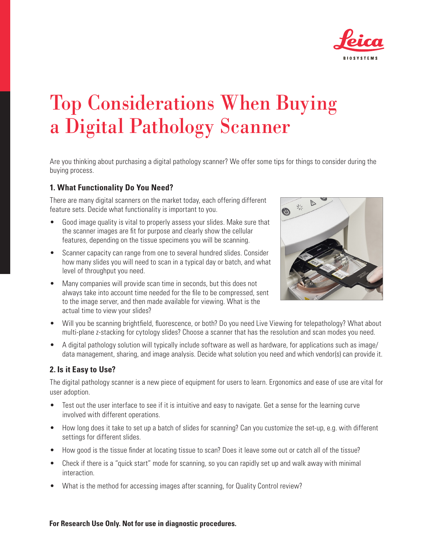

# Top Considerations When Buying a Digital Pathology Scanner

Are you thinking about purchasing a digital pathology scanner? We offer some tips for things to consider during the buying process.

## **1. What Functionality Do You Need?**

There are many digital scanners on the market today, each offering different feature sets. Decide what functionality is important to you.

- Good image quality is vital to properly assess your slides. Make sure that the scanner images are fit for purpose and clearly show the cellular features, depending on the tissue specimens you will be scanning.
- Scanner capacity can range from one to several hundred slides. Consider how many slides you will need to scan in a typical day or batch, and what level of throughput you need.
- Many companies will provide scan time in seconds, but this does not always take into account time needed for the file to be compressed, sent to the image server, and then made available for viewing. What is the actual time to view your slides?



- Will you be scanning brightfield, fluorescence, or both? Do you need Live Viewing for telepathology? What about multi-plane z-stacking for cytology slides? Choose a scanner that has the resolution and scan modes you need.
- A digital pathology solution will typically include software as well as hardware, for applications such as image/ data management, sharing, and image analysis. Decide what solution you need and which vendor(s) can provide it.

## **2. Is it Easy to Use?**

The digital pathology scanner is a new piece of equipment for users to learn. Ergonomics and ease of use are vital for user adoption.

- Test out the user interface to see if it is intuitive and easy to navigate. Get a sense for the learning curve involved with different operations.
- How long does it take to set up a batch of slides for scanning? Can you customize the set-up, e.g. with different settings for different slides.
- How good is the tissue finder at locating tissue to scan? Does it leave some out or catch all of the tissue?
- Check if there is a "quick start" mode for scanning, so you can rapidly set up and walk away with minimal interaction.
- What is the method for accessing images after scanning, for Quality Control review?

#### **For Research Use Only. Not for use in diagnostic procedures.**